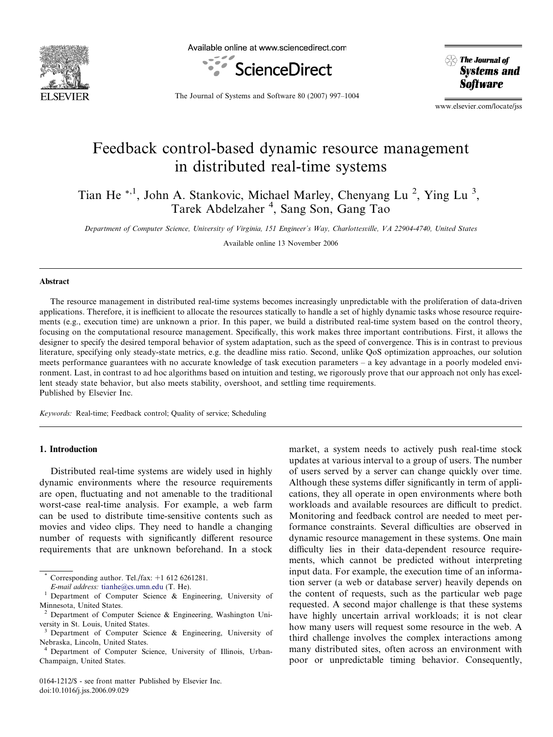

Available online at www.sciencedirect.com



 $\otimes$  The Journal of **Systems and Software** 

The Journal of Systems and Software 80 (2007) 997–1004

www.elsevier.com/locate/jss

## Feedback control-based dynamic resource management in distributed real-time systems

Tian He<sup>\*,1</sup>, John A. Stankovic, Michael Marley, Chenyang Lu<sup>2</sup>, Ying Lu<sup>3</sup>, Tarek Abdelzaher<sup>4</sup>, Sang Son, Gang Tao

Department of Computer Science, University of Virginia, 151 Engineer's Way, Charlottesville, VA 22904-4740, United States

Available online 13 November 2006

### Abstract

The resource management in distributed real-time systems becomes increasingly unpredictable with the proliferation of data-driven applications. Therefore, it is inefficient to allocate the resources statically to handle a set of highly dynamic tasks whose resource requirements (e.g., execution time) are unknown a prior. In this paper, we build a distributed real-time system based on the control theory, focusing on the computational resource management. Specifically, this work makes three important contributions. First, it allows the designer to specify the desired temporal behavior of system adaptation, such as the speed of convergence. This is in contrast to previous literature, specifying only steady-state metrics, e.g. the deadline miss ratio. Second, unlike QoS optimization approaches, our solution meets performance guarantees with no accurate knowledge of task execution parameters – a key advantage in a poorly modeled environment. Last, in contrast to ad hoc algorithms based on intuition and testing, we rigorously prove that our approach not only has excellent steady state behavior, but also meets stability, overshoot, and settling time requirements. Published by Elsevier Inc.

Keywords: Real-time; Feedback control; Quality of service; Scheduling

#### 1. Introduction

Distributed real-time systems are widely used in highly dynamic environments where the resource requirements are open, fluctuating and not amenable to the traditional worst-case real-time analysis. For example, a web farm can be used to distribute time-sensitive contents such as movies and video clips. They need to handle a changing number of requests with significantly different resource requirements that are unknown beforehand. In a stock

Corresponding author. Tel./fax:  $+1$  612 6261281.

0164-1212/\$ - see front matter Published by Elsevier Inc. doi:10.1016/j.jss.2006.09.029

market, a system needs to actively push real-time stock updates at various interval to a group of users. The number of users served by a server can change quickly over time. Although these systems differ significantly in term of applications, they all operate in open environments where both workloads and available resources are difficult to predict. Monitoring and feedback control are needed to meet performance constraints. Several difficulties are observed in dynamic resource management in these systems. One main difficulty lies in their data-dependent resource requirements, which cannot be predicted without interpreting input data. For example, the execution time of an information server (a web or database server) heavily depends on the content of requests, such as the particular web page requested. A second major challenge is that these systems have highly uncertain arrival workloads; it is not clear how many users will request some resource in the web. A third challenge involves the complex interactions among many distributed sites, often across an environment with poor or unpredictable timing behavior. Consequently,

*E-mail address:* [tianhe@cs.umn.edu](mailto:tianhe@cs.umn.edu) (T. He).<br>Department of Computer Science & Engineering, University of Minnesota, United States.

<sup>2</sup> Department of Computer Science & Engineering, Washington University in St. Louis, United States.

Department of Computer Science & Engineering, University of Nebraska, Lincoln, United States.

Department of Computer Science, University of Illinois, Urban-Champaign, United States.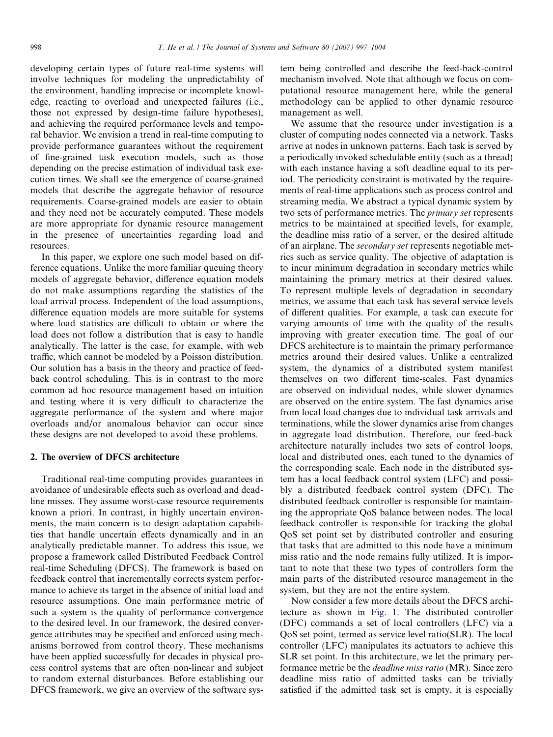developing certain types of future real-time systems will involve techniques for modeling the unpredictability of the environment, handling imprecise or incomplete knowledge, reacting to overload and unexpected failures (i.e., those not expressed by design-time failure hypotheses), and achieving the required performance levels and temporal behavior. We envision a trend in real-time computing to provide performance guarantees without the requirement of fine-grained task execution models, such as those depending on the precise estimation of individual task execution times. We shall see the emergence of coarse-grained models that describe the aggregate behavior of resource requirements. Coarse-grained models are easier to obtain and they need not be accurately computed. These models are more appropriate for dynamic resource management in the presence of uncertainties regarding load and resources.

In this paper, we explore one such model based on difference equations. Unlike the more familiar queuing theory models of aggregate behavior, difference equation models do not make assumptions regarding the statistics of the load arrival process. Independent of the load assumptions, difference equation models are more suitable for systems where load statistics are difficult to obtain or where the load does not follow a distribution that is easy to handle analytically. The latter is the case, for example, with web traffic, which cannot be modeled by a Poisson distribution. Our solution has a basis in the theory and practice of feedback control scheduling. This is in contrast to the more common ad hoc resource management based on intuition and testing where it is very difficult to characterize the aggregate performance of the system and where major overloads and/or anomalous behavior can occur since these designs are not developed to avoid these problems.

#### 2. The overview of DFCS architecture

Traditional real-time computing provides guarantees in avoidance of undesirable effects such as overload and deadline misses. They assume worst-case resource requirements known a priori. In contrast, in highly uncertain environments, the main concern is to design adaptation capabilities that handle uncertain effects dynamically and in an analytically predictable manner. To address this issue, we propose a framework called Distributed Feedback Control real-time Scheduling (DFCS). The framework is based on feedback control that incrementally corrects system performance to achieve its target in the absence of initial load and resource assumptions. One main performance metric of such a system is the quality of performance–convergence to the desired level. In our framework, the desired convergence attributes may be specified and enforced using mechanisms borrowed from control theory. These mechanisms have been applied successfully for decades in physical process control systems that are often non-linear and subject to random external disturbances. Before establishing our DFCS framework, we give an overview of the software system being controlled and describe the feed-back-control mechanism involved. Note that although we focus on computational resource management here, while the general methodology can be applied to other dynamic resource management as well.

We assume that the resource under investigation is a cluster of computing nodes connected via a network. Tasks arrive at nodes in unknown patterns. Each task is served by a periodically invoked schedulable entity (such as a thread) with each instance having a soft deadline equal to its period. The periodicity constraint is motivated by the requirements of real-time applications such as process control and streaming media. We abstract a typical dynamic system by two sets of performance metrics. The primary set represents metrics to be maintained at specified levels, for example, the deadline miss ratio of a server, or the desired altitude of an airplane. The secondary set represents negotiable metrics such as service quality. The objective of adaptation is to incur minimum degradation in secondary metrics while maintaining the primary metrics at their desired values. To represent multiple levels of degradation in secondary metrics, we assume that each task has several service levels of different qualities. For example, a task can execute for varying amounts of time with the quality of the results improving with greater execution time. The goal of our DFCS architecture is to maintain the primary performance metrics around their desired values. Unlike a centralized system, the dynamics of a distributed system manifest themselves on two different time-scales. Fast dynamics are observed on individual nodes, while slower dynamics are observed on the entire system. The fast dynamics arise from local load changes due to individual task arrivals and terminations, while the slower dynamics arise from changes in aggregate load distribution. Therefore, our feed-back architecture naturally includes two sets of control loops, local and distributed ones, each tuned to the dynamics of the corresponding scale. Each node in the distributed system has a local feedback control system (LFC) and possibly a distributed feedback control system (DFC). The distributed feedback controller is responsible for maintaining the appropriate QoS balance between nodes. The local feedback controller is responsible for tracking the global QoS set point set by distributed controller and ensuring that tasks that are admitted to this node have a minimum miss ratio and the node remains fully utilized. It is important to note that these two types of controllers form the main parts of the distributed resource management in the system, but they are not the entire system.

Now consider a few more details about the DFCS architecture as shown in [Fig. 1.](#page--1-0) The distributed controller (DFC) commands a set of local controllers (LFC) via a QoS set point, termed as service level ratio(SLR). The local controller (LFC) manipulates its actuators to achieve this SLR set point. In this architecture, we let the primary performance metric be the deadline miss ratio (MR). Since zero deadline miss ratio of admitted tasks can be trivially satisfied if the admitted task set is empty, it is especially